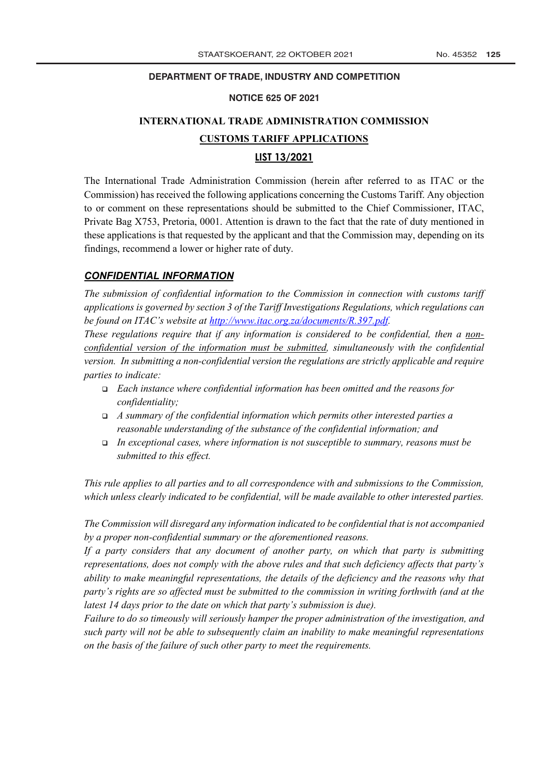## **DEPARTMENT OF TRADE, INDUSTRY AND COMPETITION**

#### **NOTICE 625 OF 2021**

## **INTERNATIONAL TRADE ADMINISTRATION COMMISSION CUSTOMS TARIFF APPLICATIONS LIST 13/2021**

The International Trade Administration Commission (herein after referred to as ITAC or the Commission) has received the following applications concerning the Customs Tariff. Any objection to or comment on these representations should be submitted to the Chief Commissioner, ITAC, Private Bag X753, Pretoria, 0001. Attention is drawn to the fact that the rate of duty mentioned in these applications is that requested by the applicant and that the Commission may, depending on its findings, recommend a lower or higher rate of duty.

## *CONFIDENTIAL INFORMATION*

*The submission of confidential information to the Commission in connection with customs tariff applications is governed by section 3 of the Tariff Investigations Regulations, which regulations can be found on ITAC's website at http://www.itac.org.za/documents/R.397.pdf.*

*These regulations require that if any information is considered to be confidential, then a nonconfidential version of the information must be submitted, simultaneously with the confidential version. In submitting a non-confidential version the regulations are strictly applicable and require parties to indicate:*

- <sup>q</sup> *Each instance where confidential information has been omitted and the reasons for confidentiality;*
- <sup>q</sup> *A summary of the confidential information which permits other interested parties a reasonable understanding of the substance of the confidential information; and*
- <sup>q</sup> *In exceptional cases, where information is not susceptible to summary, reasons must be submitted to this effect.*

*This rule applies to all parties and to all correspondence with and submissions to the Commission, which unless clearly indicated to be confidential, will be made available to other interested parties.* 

*The Commission will disregard any information indicated to be confidential that is not accompanied by a proper non-confidential summary or the aforementioned reasons.*

*If a party considers that any document of another party, on which that party is submitting representations, does not comply with the above rules and that such deficiency affects that party's ability to make meaningful representations, the details of the deficiency and the reasons why that party's rights are so affected must be submitted to the commission in writing forthwith (and at the latest 14 days prior to the date on which that party's submission is due).* 

*Failure to do so timeously will seriously hamper the proper administration of the investigation, and such party will not be able to subsequently claim an inability to make meaningful representations on the basis of the failure of such other party to meet the requirements.*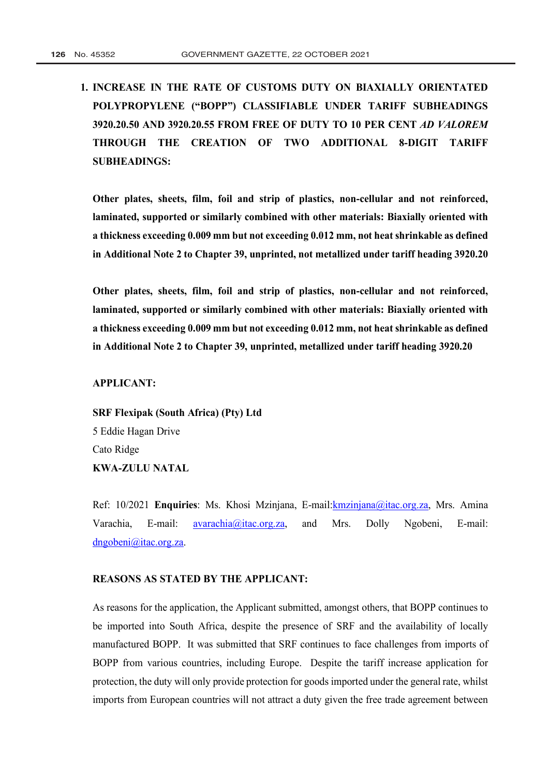**1. INCREASE IN THE RATE OF CUSTOMS DUTY ON BIAXIALLY ORIENTATED POLYPROPYLENE ("BOPP") CLASSIFIABLE UNDER TARIFF SUBHEADINGS 3920.20.50 AND 3920.20.55 FROM FREE OF DUTY TO 10 PER CENT** *AD VALOREM* **THROUGH THE CREATION OF TWO ADDITIONAL 8-DIGIT TARIFF SUBHEADINGS:**

**Other plates, sheets, film, foil and strip of plastics, non-cellular and not reinforced, laminated, supported or similarly combined with other materials: Biaxially oriented with a thickness exceeding 0.009 mm but not exceeding 0.012 mm, not heat shrinkable as defined in Additional Note 2 to Chapter 39, unprinted, not metallized under tariff heading 3920.20**

**Other plates, sheets, film, foil and strip of plastics, non-cellular and not reinforced, laminated, supported or similarly combined with other materials: Biaxially oriented with a thickness exceeding 0.009 mm but not exceeding 0.012 mm, not heat shrinkable as defined in Additional Note 2 to Chapter 39, unprinted, metallized under tariff heading 3920.20**

**APPLICANT:** 

**SRF Flexipak (South Africa) (Pty) Ltd** 5 Eddie Hagan Drive Cato Ridge **KWA-ZULU NATAL**

Ref: 10/2021 **Enquiries**: Ms. Khosi Mzinjana, E-mail:kmzinjana@itac.org.za, Mrs. Amina Varachia, E-mail: **avarachia@itac.org.za**, and Mrs. Dolly Ngobeni, E-mail: dngobeni@itac.org.za.

## **REASONS AS STATED BY THE APPLICANT:**

As reasons for the application, the Applicant submitted, amongst others, that BOPP continues to be imported into South Africa, despite the presence of SRF and the availability of locally manufactured BOPP. It was submitted that SRF continues to face challenges from imports of BOPP from various countries, including Europe. Despite the tariff increase application for protection, the duty will only provide protection for goods imported under the general rate, whilst imports from European countries will not attract a duty given the free trade agreement between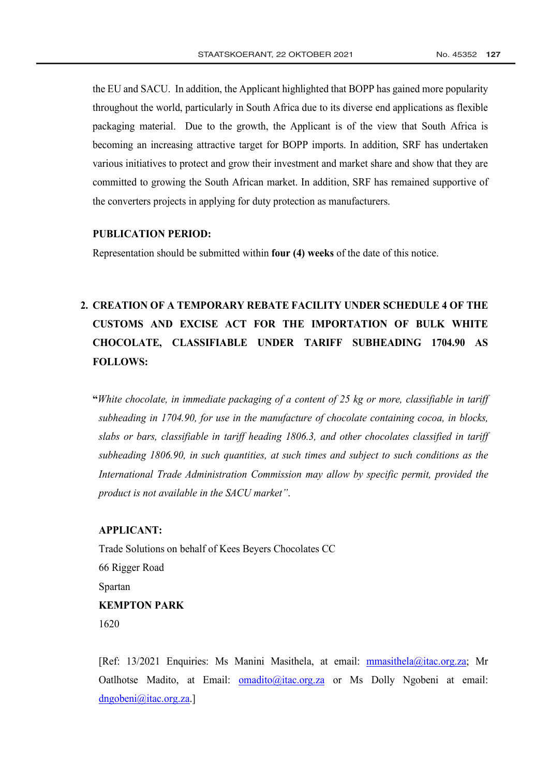the EU and SACU. In addition, the Applicant highlighted that BOPP has gained more popularity throughout the world, particularly in South Africa due to its diverse end applications as flexible packaging material. Due to the growth, the Applicant is of the view that South Africa is becoming an increasing attractive target for BOPP imports. In addition, SRF has undertaken various initiatives to protect and grow their investment and market share and show that they are committed to growing the South African market. In addition, SRF has remained supportive of the converters projects in applying for duty protection as manufacturers.

### **PUBLICATION PERIOD:**

Representation should be submitted within **four (4) weeks** of the date of this notice.

## **2. CREATION OF A TEMPORARY REBATE FACILITY UNDER SCHEDULE 4 OF THE [CUSTOMS AND EXCISE ACT](http://www.greengazette.co.za/acts/customs-and-excise-act_1964-091) FOR THE IMPORTATION OF BULK WHITE CHOCOLATE, CLASSIFIABLE UNDER TARIFF SUBHEADING 1704.90 AS FOLLOWS:**

**"***White chocolate, in immediate packaging of a content of 25 kg or more, classifiable in tariff subheading in 1704.90, for use in the manufacture of chocolate containing cocoa, in blocks, slabs or bars, classifiable in tariff heading 1806.3, and other chocolates classified in tariff subheading 1806.90, in such quantities, at such times and subject to such conditions as the International Trade Administration Commission may allow by specific permit, provided the product is not available in the SACU market"*.

## **APPLICANT:**

Trade Solutions on behalf of Kees Beyers Chocolates CC 66 Rigger Road Spartan **KEMPTON PARK**  1620

[Ref: 13/2021 Enquiries: Ms Manini Masithela, at email: mmasithela@itac.org.za; Mr Oatlhotse Madito, at Email: omadito@itac.org.za or Ms Dolly Ngobeni at email: dngobeni@itac.org.za.]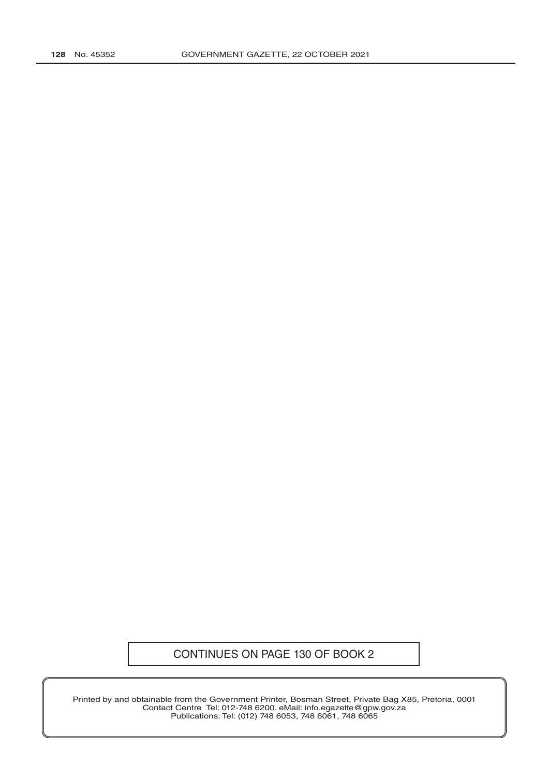## CONTINUES ON PAGE 130 OF BOOK 2

Printed by and obtainable from the Government Printer, Bosman Street, Private Bag X85, Pretoria, 0001 Contact Centre Tel: 012-748 6200. eMail: info.egazette@gpw.gov.za Publications: Tel: (012) 748 6053, 748 6061, 748 6065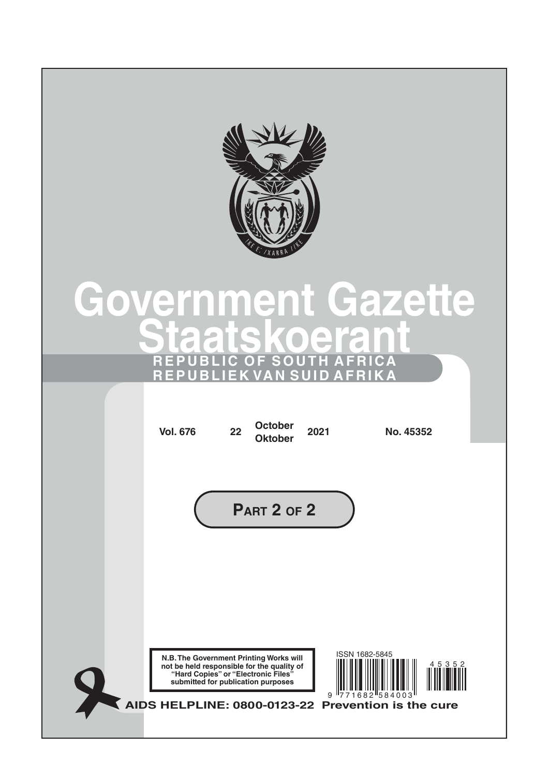

# **[Government](http://www.greengazette.co.za/government-gazette) [Gazette](http://www.greengazette.co.za/government-gazette) Staatskoeran REPUBLIC OF SOUTH AFRICA REPUBLIEK VAN SUID AFRIKA**

| <b>Vol. 676</b>                                                                                                                                                                    | 22                                 | <b>October</b><br><b>Oktober</b> | 2021             | No. 45352                                                         |           |  |
|------------------------------------------------------------------------------------------------------------------------------------------------------------------------------------|------------------------------------|----------------------------------|------------------|-------------------------------------------------------------------|-----------|--|
|                                                                                                                                                                                    |                                    | PART 2 OF 2                      |                  |                                                                   |           |  |
| N.B. The Government Printing Works will<br>not be held responsible for the quality of<br>"Hard Copies" or "Electronic Files"<br>AIDS HELPLINE: 0800-0123-22 Prevention is the cure | submitted for publication purposes |                                  | $\boldsymbol{9}$ | ISSN 1682-5845<br>$\frac{1}{2}$ 7 1 6 8 2 $\frac{1}{5}$ 8 4 0 0 3 | 4 5 3 5 2 |  |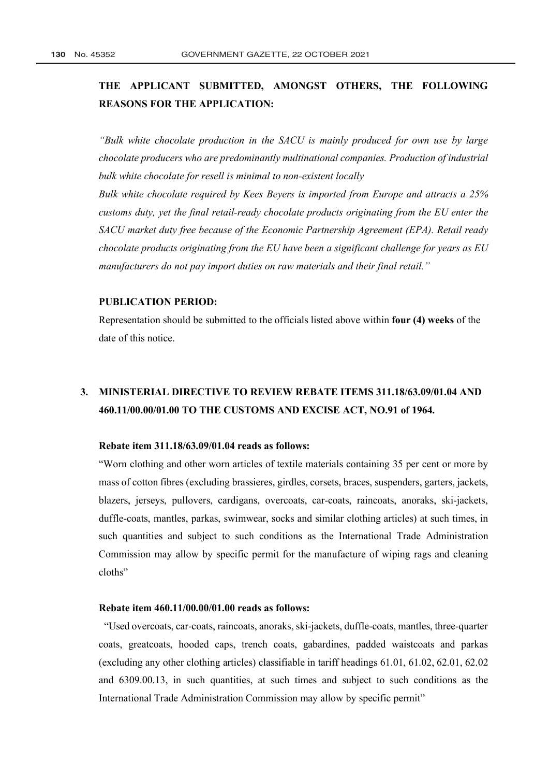## **THE APPLICANT SUBMITTED, AMONGST OTHERS, THE FOLLOWING REASONS FOR THE APPLICATION:**

*"Bulk white chocolate production in the SACU is mainly produced for own use by large chocolate producers who are predominantly multinational companies. Production of industrial bulk white chocolate for resell is minimal to non-existent locally*

*Bulk white chocolate required by Kees Beyers is imported from Europe and attracts a 25% customs duty, yet the final retail-ready chocolate products originating from the EU enter the SACU market duty free because of the Economic Partnership Agreement (EPA). Retail ready chocolate products originating from the EU have been a significant challenge for years as EU manufacturers do not pay import duties on raw materials and their final retail."*

### **PUBLICATION PERIOD:**

Representation should be submitted to the officials listed above within **four (4) weeks** of the date of this notice.

## **3. MINISTERIAL DIRECTIVE TO REVIEW REBATE ITEMS 311.18/63.09/01.04 AND 460.11/00.00/01.00 TO THE [CUSTOMS AND EXCISE ACT,](http://www.greengazette.co.za/acts/customs-and-excise-act_1964-091) NO.91 of 1964.**

#### **Rebate item 311.18/63.09/01.04 reads as follows:**

"Worn clothing and other worn articles of textile materials containing 35 per cent or more by mass of cotton fibres (excluding brassieres, girdles, corsets, braces, suspenders, garters, jackets, blazers, jerseys, pullovers, cardigans, overcoats, car-coats, raincoats, anoraks, ski-jackets, duffle-coats, mantles, parkas, swimwear, socks and similar clothing articles) at such times, in such quantities and subject to such conditions as the International Trade Administration Commission may allow by specific permit for the manufacture of wiping rags and cleaning cloths"

## **Rebate item 460.11/00.00/01.00 reads as follows:**

 "Used overcoats, car-coats, raincoats, anoraks, ski-jackets, duffle-coats, mantles, three-quarter coats, greatcoats, hooded caps, trench coats, gabardines, padded waistcoats and parkas (excluding any other clothing articles) classifiable in tariff headings 61.01, 61.02, 62.01, 62.02 and 6309.00.13, in such quantities, at such times and subject to such conditions as the International Trade Administration Commission may allow by specific permit"